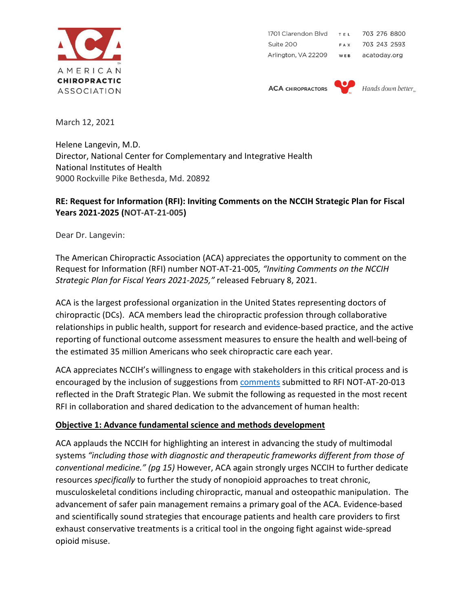

1701 Clarendon Blvd TEL 703 276 8800 Suite 200 703 243 2593 FAX Arlington, VA 22209 WEB acatoday.org

**ACA CHIROPRACTORS** 



Hands down better.

March 12, 2021

Helene Langevin, M.D. Director, National Center for Complementary and Integrative Health National Institutes of Health 9000 Rockville Pike Bethesda, Md. 20892

#### **RE: Request for Information (RFI): Inviting Comments on the NCCIH Strategic Plan for Fiscal Years 2021-2025 (NOT-AT-21-005)**

Dear Dr. Langevin:

The American Chiropractic Association (ACA) appreciates the opportunity to comment on the Request for Information (RFI) number NOT-AT-21-005*, "Inviting Comments on the NCCIH Strategic Plan for Fiscal Years 2021-2025,"* released February 8, 2021.

ACA is the largest professional organization in the United States representing doctors of chiropractic (DCs). ACA members lead the chiropractic profession through collaborative relationships in public health, support for research and evidence-based practice, and the active reporting of functional outcome assessment measures to ensure the health and well-being of the estimated 35 million Americans who seek chiropractic care each year.

ACA appreciates NCCIH's willingness to engage with stakeholders in this critical process and is encouraged by the inclusion of suggestions from **comments** submitted to RFI NOT-AT-20-013 reflected in the Draft Strategic Plan. We submit the following as requested in the most recent RFI in collaboration and shared dedication to the advancement of human health:

#### **Objective 1: Advance fundamental science and methods development**

ACA applauds the NCCIH for highlighting an interest in advancing the study of multimodal systems *"including those with diagnostic and therapeutic frameworks different from those of conventional medicine." (pg 15)* However, ACA again strongly urges NCCIH to further dedicate resources *specifically* to further the study of nonopioid approaches to treat chronic, musculoskeletal conditions including chiropractic, manual and osteopathic manipulation. The advancement of safer pain management remains a primary goal of the ACA. Evidence-based and scientifically sound strategies that encourage patients and health care providers to first exhaust conservative treatments is a critical tool in the ongoing fight against wide-spread opioid misuse.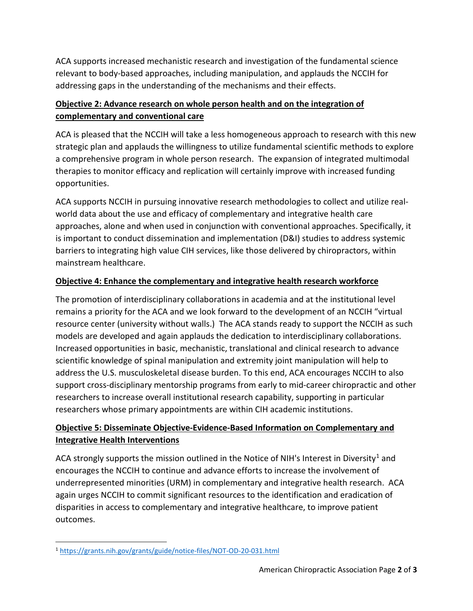ACA supports increased mechanistic research and investigation of the fundamental science relevant to body-based approaches, including manipulation, and applauds the NCCIH for addressing gaps in the understanding of the mechanisms and their effects.

# **Objective 2: Advance research on whole person health and on the integration of complementary and conventional care**

ACA is pleased that the NCCIH will take a less homogeneous approach to research with this new strategic plan and applauds the willingness to utilize fundamental scientific methods to explore a comprehensive program in whole person research. The expansion of integrated multimodal therapies to monitor efficacy and replication will certainly improve with increased funding opportunities.

ACA supports NCCIH in pursuing innovative research methodologies to collect and utilize realworld data about the use and efficacy of complementary and integrative health care approaches, alone and when used in conjunction with conventional approaches. Specifically, it is important to conduct dissemination and implementation (D&I) studies to address systemic barriers to integrating high value CIH services, like those delivered by chiropractors, within mainstream healthcare.

### **Objective 4: Enhance the complementary and integrative health research workforce**

The promotion of interdisciplinary collaborations in academia and at the institutional level remains a priority for the ACA and we look forward to the development of an NCCIH "virtual resource center (university without walls.) The ACA stands ready to support the NCCIH as such models are developed and again applauds the dedication to interdisciplinary collaborations. Increased opportunities in basic, mechanistic, translational and clinical research to advance scientific knowledge of spinal manipulation and extremity joint manipulation will help to address the U.S. musculoskeletal disease burden. To this end, ACA encourages NCCIH to also support cross-disciplinary mentorship programs from early to mid-career chiropractic and other researchers to increase overall institutional research capability, supporting in particular researchers whose primary appointments are within CIH academic institutions.

# **Objective 5: Disseminate Objective-Evidence-Based Information on Complementary and Integrative Health Interventions**

ACA strongly supports the mission outlined in the Notice of NIH's Interest in Diversity<sup>[1](#page-1-0)</sup> and encourages the NCCIH to continue and advance efforts to increase the involvement of underrepresented minorities (URM) in complementary and integrative health research. ACA again urges NCCIH to commit significant resources to the identification and eradication of disparities in access to complementary and integrative healthcare, to improve patient outcomes.

<span id="page-1-0"></span><sup>1</sup> <https://grants.nih.gov/grants/guide/notice-files/NOT-OD-20-031.html>